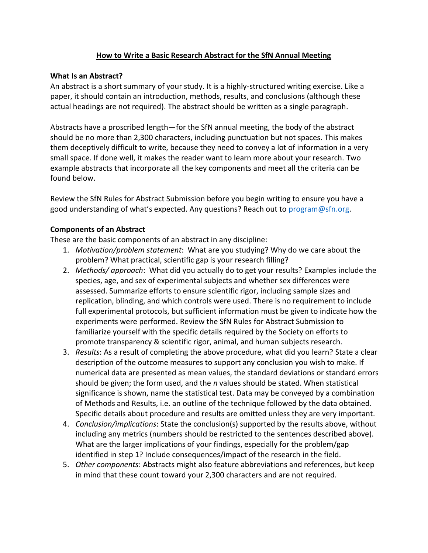# **How to Write a Basic Research Abstract for the SfN Annual Meeting**

## **What Is an Abstract?**

An abstract is a short summary of your study. It is a highly-structured writing exercise. Like a paper, it should contain an introduction, methods, results, and conclusions (although these actual headings are not required). The abstract should be written as a single paragraph.

Abstracts have a proscribed length—for the SfN annual meeting, the body of the abstract should be no more than 2,300 characters, including punctuation but not spaces. This makes them deceptively difficult to write, because they need to convey a lot of information in a very small space. If done well, it makes the reader want to learn more about your research. Two example abstracts that incorporate all the key components and meet all the criteria can be found below.

Review the SfN Rules for Abstract Submission before you begin writing to ensure you have a good understanding of what's expected. Any questions? Reach out to [program@sfn.org.](mailto:program@sfn.org)

# **Components of an Abstract**

These are the basic components of an abstract in any discipline:

- 1. *Motivation/problem statement*: What are you studying? Why do we care about the problem? What practical, scientific gap is your research filling?
- 2. *Methods/ approach*: What did you actually do to get your results? Examples include the species, age, and sex of experimental subjects and whether sex differences were assessed. Summarize efforts to ensure scientific rigor, including sample sizes and replication, blinding, and which controls were used. There is no requirement to include full experimental protocols, but sufficient information must be given to indicate how the experiments were performed. Review the SfN Rules for Abstract Submission to familiarize yourself with the specific details required by the Society on efforts to promote transparency & scientific rigor, animal, and human subjects research.
- 3. *Results*: As a result of completing the above procedure, what did you learn? State a clear description of the outcome measures to support any conclusion you wish to make. If numerical data are presented as mean values, the standard deviations or standard errors should be given; the form used, and the *n* values should be stated. When statistical significance is shown, name the statistical test. Data may be conveyed by a combination of Methods and Results, i.e. an outline of the technique followed by the data obtained. Specific details about procedure and results are omitted unless they are very important.
- 4. *Conclusion/implications*: State the conclusion(s) supported by the results above, without including any metrics (numbers should be restricted to the sentences described above). What are the larger implications of your findings, especially for the problem/gap identified in step 1? Include consequences/impact of the research in the field.
- 5. *Other components*: Abstracts might also feature abbreviations and references, but keep in mind that these count toward your 2,300 characters and are not required.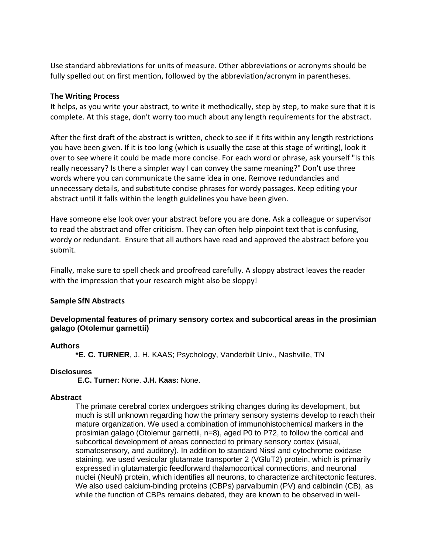Use standard abbreviations for units of measure. Other abbreviations or acronyms should be fully spelled out on first mention, followed by the abbreviation/acronym in parentheses.

### **The Writing Process**

It helps, as you write your abstract, to write it methodically, step by step, to make sure that it is complete. At this stage, don't worry too much about any length requirements for the abstract.

After the first draft of the abstract is written, check to see if it fits within any length restrictions you have been given. If it is too long (which is usually the case at this stage of writing), look it over to see where it could be made more concise. For each word or phrase, ask yourself "Is this really necessary? Is there a simpler way I can convey the same meaning?" Don't use three words where you can communicate the same idea in one. Remove redundancies and unnecessary details, and substitute concise phrases for wordy passages. Keep editing your abstract until it falls within the length guidelines you have been given.

Have someone else look over your abstract before you are done. Ask a colleague or supervisor to read the abstract and offer criticism. They can often help pinpoint text that is confusing, wordy or redundant. Ensure that all authors have read and approved the abstract before you submit.

Finally, make sure to spell check and proofread carefully. A sloppy abstract leaves the reader with the impression that your research might also be sloppy!

## **Sample SfN Abstracts**

## **Developmental features of primary sensory cortex and subcortical areas in the prosimian galago (Otolemur garnettii)**

### **Authors**

**\*E. C. TURNER**, J. H. KAAS; Psychology, Vanderbilt Univ., Nashville, TN

### **Disclosures**

**E.C. Turner:** None. **J.H. Kaas:** None.

### **Abstract**

The primate cerebral cortex undergoes striking changes during its development, but much is still unknown regarding how the primary sensory systems develop to reach their mature organization. We used a combination of immunohistochemical markers in the prosimian galago (Otolemur garnettii, n=8), aged P0 to P72, to follow the cortical and subcortical development of areas connected to primary sensory cortex (visual, somatosensory, and auditory). In addition to standard Nissl and cytochrome oxidase staining, we used vesicular glutamate transporter 2 (VGluT2) protein, which is primarily expressed in glutamatergic feedforward thalamocortical connections, and neuronal nuclei (NeuN) protein, which identifies all neurons, to characterize architectonic features. We also used calcium-binding proteins (CBPs) parvalbumin (PV) and calbindin (CB), as while the function of CBPs remains debated, they are known to be observed in well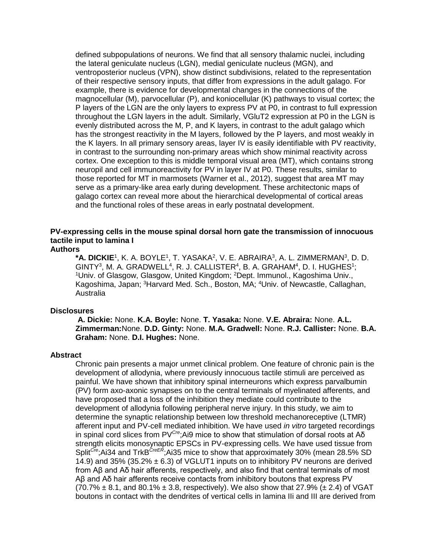defined subpopulations of neurons. We find that all sensory thalamic nuclei, including the lateral geniculate nucleus (LGN), medial geniculate nucleus (MGN), and ventroposterior nucleus (VPN), show distinct subdivisions, related to the representation of their respective sensory inputs, that differ from expressions in the adult galago. For example, there is evidence for developmental changes in the connections of the magnocellular (M), parvocellular (P), and koniocellular (K) pathways to visual cortex; the P layers of the LGN are the only layers to express PV at P0, in contrast to full expression throughout the LGN layers in the adult. Similarly, VGluT2 expression at P0 in the LGN is evenly distributed across the M, P, and K layers, in contrast to the adult galago which has the strongest reactivity in the M layers, followed by the P layers, and most weakly in the K layers. In all primary sensory areas, layer IV is easily identifiable with PV reactivity, in contrast to the surrounding non-primary areas which show minimal reactivity across cortex. One exception to this is middle temporal visual area (MT), which contains strong neuropil and cell immunoreactivity for PV in layer IV at P0. These results, similar to those reported for MT in marmosets (Warner et al., 2012), suggest that area MT may serve as a primary-like area early during development. These architectonic maps of galago cortex can reveal more about the hierarchical developmental of cortical areas and the functional roles of these areas in early postnatal development.

#### **PV-expressing cells in the mouse spinal dorsal horn gate the transmission of innocuous tactile input to lamina I Authors**

\***A. DICKIE**1, K. A. BOYLE1, T. YASAKA<sup>2</sup>, V. E. ABRAIRA<sup>3</sup>, A. L. ZIMMERMAN<sup>3</sup>, D. D.  $GINTY<sup>3</sup>$ , M. A.  $GRADWELL<sup>4</sup>$ , R. J.  $CALLISTER<sup>4</sup>$ , B. A.  $GRAHAM<sup>4</sup>$ , D. I.  $HUGHES<sup>1</sup>$ ; <sup>1</sup>Univ. of Glasgow, Glasgow, United Kingdom; <sup>2</sup>Dept. Immunol., Kagoshima Univ., Kagoshima, Japan; <sup>3</sup>Harvard Med. Sch., Boston, MA; <sup>4</sup>Univ. of Newcastle, Callaghan, Australia

### **Disclosures**

**A. Dickie:** None. **K.A. Boyle:** None. **T. Yasaka:** None. **V.E. Abraira:** None. **A.L. Zimmerman:**None. **D.D. Ginty:** None. **M.A. Gradwell:** None. **R.J. Callister:** None. **B.A. Graham:** None. **D.I. Hughes:** None.

#### **Abstract**

Chronic pain presents a major unmet clinical problem. One feature of chronic pain is the development of allodynia, where previously innocuous tactile stimuli are perceived as painful. We have shown that inhibitory spinal interneurons which express parvalbumin (PV) form axo-axonic synapses on to the central terminals of myelinated afferents, and have proposed that a loss of the inhibition they mediate could contribute to the development of allodynia following peripheral nerve injury. In this study, we aim to determine the synaptic relationship between low threshold mechanoreceptive (LTMR) afferent input and PV-cell mediated inhibition. We have used *in vitro* targeted recordings in spinal cord slices from PV*Cre*;Ai9 mice to show that stimulation of dorsal roots at Aδ strength elicits monosynaptic EPSCs in PV-expressing cells. We have used tissue from Split<sup>Cre</sup>;Ai34 and TrkB<sup>CreER</sup>;Ai35 mice to show that approximately 30% (mean 28.5% SD 14.9) and 35% (35.2%  $\pm$  6.3) of VGLUT1 inputs on to inhibitory PV neurons are derived from Aβ and Aδ hair afferents, respectively, and also find that central terminals of most Aβ and Aδ hair afferents receive contacts from inhibitory boutons that express PV  $(70.7\% \pm 8.1,$  and 80.1%  $\pm 3.8$ , respectively). We also show that 27.9% ( $\pm 2.4$ ) of VGAT boutons in contact with the dendrites of vertical cells in lamina IIi and III are derived from